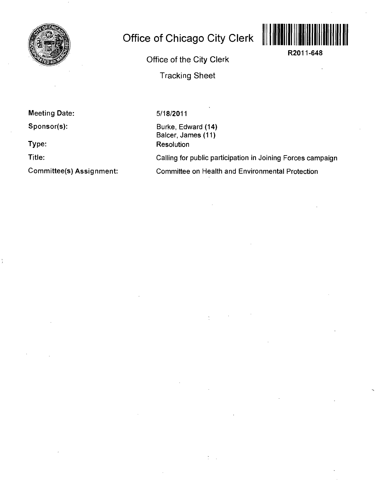

## **Office of Chicago City Clerk**



**R2011-648** 

Office of the City Clerk Tracking Sheet

**Meeting Date:** 

**Sponsor(s):** 

**Type:** 

**Title:** 

**Committee(s) Assignment:** 

5/18/2011

Burke, Edward (14) Balcer, James (11) **Resolution** 

 $\frac{1}{2}$ 

Calling for public participation in Joining Forces campaign Committee on Health and Environmental Protection